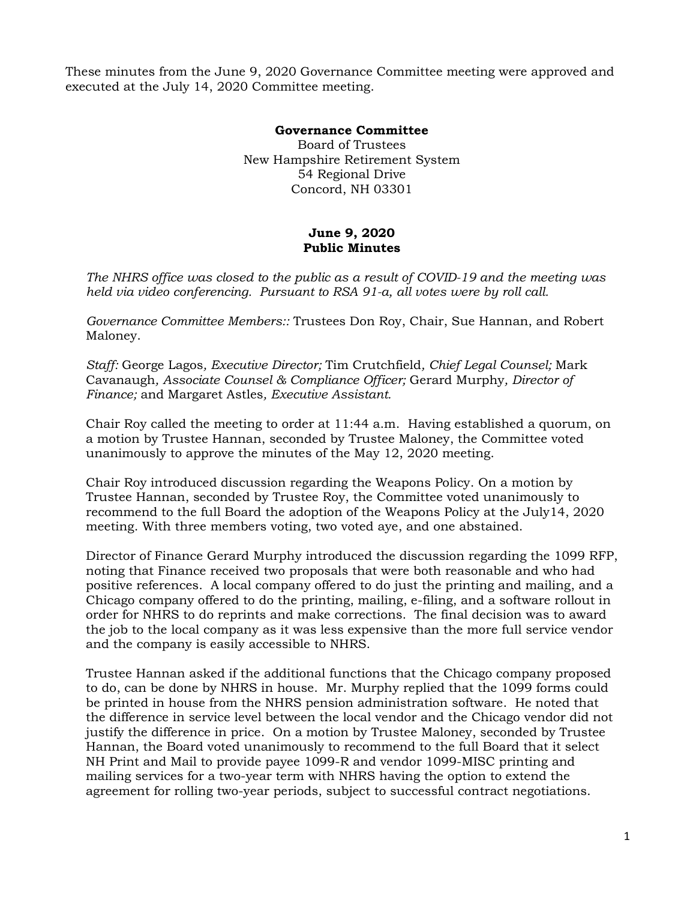These minutes from the June 9, 2020 Governance Committee meeting were approved and executed at the July 14, 2020 Committee meeting.

## **Governance Committee**

Board of Trustees New Hampshire Retirement System 54 Regional Drive Concord, NH 03301

## **June 9, 2020 Public Minutes**

*The NHRS office was closed to the public as a result of COVID-19 and the meeting was held via video conferencing. Pursuant to RSA 91-a, all votes were by roll call.* 

*Governance Committee Members::* Trustees Don Roy, Chair, Sue Hannan, and Robert Maloney.

*Staff:* George Lagos*, Executive Director;* Tim Crutchfield*, Chief Legal Counsel;* Mark Cavanaugh*, Associate Counsel & Compliance Officer;* Gerard Murphy*, Director of Finance;* and Margaret Astles*, Executive Assistant.* 

Chair Roy called the meeting to order at 11:44 a.m. Having established a quorum, on a motion by Trustee Hannan, seconded by Trustee Maloney, the Committee voted unanimously to approve the minutes of the May 12, 2020 meeting.

Chair Roy introduced discussion regarding the Weapons Policy. On a motion by Trustee Hannan, seconded by Trustee Roy, the Committee voted unanimously to recommend to the full Board the adoption of the Weapons Policy at the July14, 2020 meeting. With three members voting, two voted aye, and one abstained.

Director of Finance Gerard Murphy introduced the discussion regarding the 1099 RFP, noting that Finance received two proposals that were both reasonable and who had positive references. A local company offered to do just the printing and mailing, and a Chicago company offered to do the printing, mailing, e-filing, and a software rollout in order for NHRS to do reprints and make corrections. The final decision was to award the job to the local company as it was less expensive than the more full service vendor and the company is easily accessible to NHRS.

Trustee Hannan asked if the additional functions that the Chicago company proposed to do, can be done by NHRS in house. Mr. Murphy replied that the 1099 forms could be printed in house from the NHRS pension administration software. He noted that the difference in service level between the local vendor and the Chicago vendor did not justify the difference in price. On a motion by Trustee Maloney, seconded by Trustee Hannan, the Board voted unanimously to recommend to the full Board that it select NH Print and Mail to provide payee 1099-R and vendor 1099-MISC printing and mailing services for a two-year term with NHRS having the option to extend the agreement for rolling two-year periods, subject to successful contract negotiations.